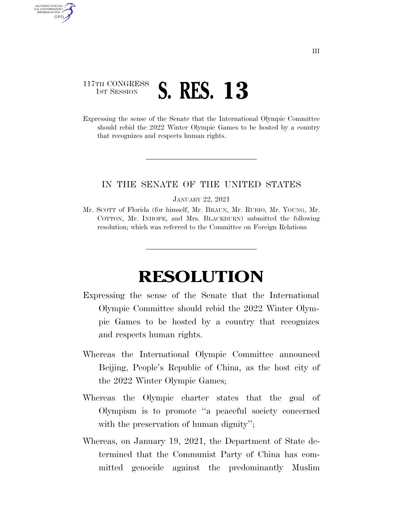## 117TH CONGRESS **1ST SESSION S. RES. 13**

AUTHENTICATED U.S. GOVERNMENT **GPO** 

> Expressing the sense of the Senate that the International Olympic Committee should rebid the 2022 Winter Olympic Games to be hosted by a country that recognizes and respects human rights.

## IN THE SENATE OF THE UNITED STATES

JANUARY 22, 2021

Mr. SCOTT of Florida (for himself, Mr. BRAUN, Mr. RUBIO, Mr. YOUNG, Mr. COTTON, Mr. INHOFE, and Mrs. BLACKBURN) submitted the following resolution; which was referred to the Committee on Foreign Relations

## **RESOLUTION**

- Expressing the sense of the Senate that the International Olympic Committee should rebid the 2022 Winter Olympic Games to be hosted by a country that recognizes and respects human rights.
- Whereas the International Olympic Committee announced Beijing, People's Republic of China, as the host city of the 2022 Winter Olympic Games;
- Whereas the Olympic charter states that the goal of Olympism is to promote ''a peaceful society concerned with the preservation of human dignity'';
- Whereas, on January 19, 2021, the Department of State determined that the Communist Party of China has committed genocide against the predominantly Muslim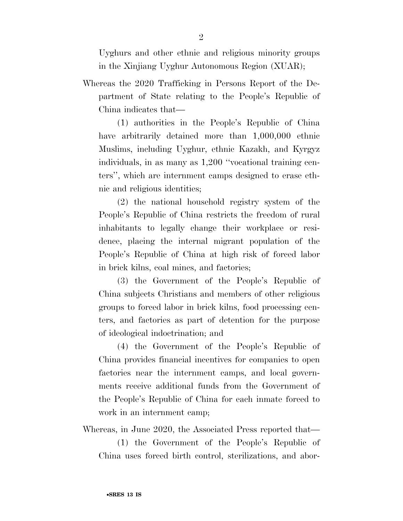Uyghurs and other ethnic and religious minority groups in the Xinjiang Uyghur Autonomous Region (XUAR);

Whereas the 2020 Trafficking in Persons Report of the Department of State relating to the People's Republic of China indicates that—

(1) authorities in the People's Republic of China have arbitrarily detained more than  $1,000,000$  ethnic Muslims, including Uyghur, ethnic Kazakh, and Kyrgyz individuals, in as many as 1,200 ''vocational training centers'', which are internment camps designed to erase ethnic and religious identities;

(2) the national household registry system of the People's Republic of China restricts the freedom of rural inhabitants to legally change their workplace or residence, placing the internal migrant population of the People's Republic of China at high risk of forced labor in brick kilns, coal mines, and factories;

(3) the Government of the People's Republic of China subjects Christians and members of other religious groups to forced labor in brick kilns, food processing centers, and factories as part of detention for the purpose of ideological indoctrination; and

(4) the Government of the People's Republic of China provides financial incentives for companies to open factories near the internment camps, and local governments receive additional funds from the Government of the People's Republic of China for each inmate forced to work in an internment camp;

Whereas, in June 2020, the Associated Press reported that—

(1) the Government of the People's Republic of China uses forced birth control, sterilizations, and abor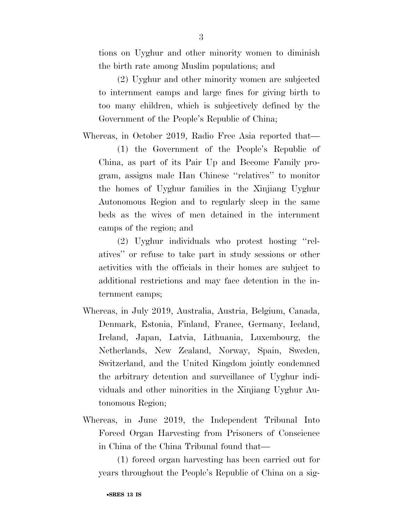tions on Uyghur and other minority women to diminish the birth rate among Muslim populations; and

(2) Uyghur and other minority women are subjected to internment camps and large fines for giving birth to too many children, which is subjectively defined by the Government of the People's Republic of China;

Whereas, in October 2019, Radio Free Asia reported that—

(1) the Government of the People's Republic of China, as part of its Pair Up and Become Family program, assigns male Han Chinese ''relatives'' to monitor the homes of Uyghur families in the Xinjiang Uyghur Autonomous Region and to regularly sleep in the same beds as the wives of men detained in the internment camps of the region; and

(2) Uyghur individuals who protest hosting ''relatives'' or refuse to take part in study sessions or other activities with the officials in their homes are subject to additional restrictions and may face detention in the internment camps;

- Whereas, in July 2019, Australia, Austria, Belgium, Canada, Denmark, Estonia, Finland, France, Germany, Iceland, Ireland, Japan, Latvia, Lithuania, Luxembourg, the Netherlands, New Zealand, Norway, Spain, Sweden, Switzerland, and the United Kingdom jointly condemned the arbitrary detention and surveillance of Uyghur individuals and other minorities in the Xinjiang Uyghur Autonomous Region;
- Whereas, in June 2019, the Independent Tribunal Into Forced Organ Harvesting from Prisoners of Conscience in China of the China Tribunal found that—

(1) forced organ harvesting has been carried out for years throughout the People's Republic of China on a sig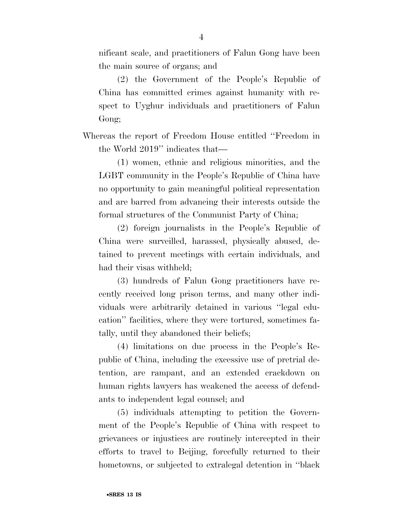nificant scale, and practitioners of Falun Gong have been the main source of organs; and

(2) the Government of the People's Republic of China has committed crimes against humanity with respect to Uyghur individuals and practitioners of Falun Gong;

Whereas the report of Freedom House entitled ''Freedom in the World 2019'' indicates that—

(1) women, ethnic and religious minorities, and the LGBT community in the People's Republic of China have no opportunity to gain meaningful political representation and are barred from advancing their interests outside the formal structures of the Communist Party of China;

(2) foreign journalists in the People's Republic of China were surveilled, harassed, physically abused, detained to prevent meetings with certain individuals, and had their visas withheld;

(3) hundreds of Falun Gong practitioners have recently received long prison terms, and many other individuals were arbitrarily detained in various ''legal education'' facilities, where they were tortured, sometimes fatally, until they abandoned their beliefs;

(4) limitations on due process in the People's Republic of China, including the excessive use of pretrial detention, are rampant, and an extended crackdown on human rights lawyers has weakened the access of defendants to independent legal counsel; and

(5) individuals attempting to petition the Government of the People's Republic of China with respect to grievances or injustices are routinely intercepted in their efforts to travel to Beijing, forcefully returned to their hometowns, or subjected to extralegal detention in ''black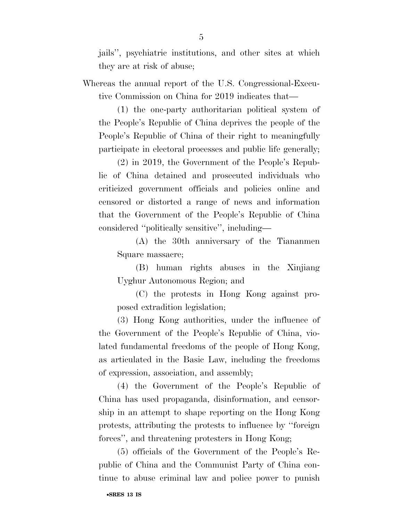jails'', psychiatric institutions, and other sites at which they are at risk of abuse;

Whereas the annual report of the U.S. Congressional-Executive Commission on China for 2019 indicates that—

(1) the one-party authoritarian political system of the People's Republic of China deprives the people of the People's Republic of China of their right to meaningfully participate in electoral processes and public life generally;

(2) in 2019, the Government of the People's Republic of China detained and prosecuted individuals who criticized government officials and policies online and censored or distorted a range of news and information that the Government of the People's Republic of China considered ''politically sensitive'', including—

(A) the 30th anniversary of the Tiananmen Square massacre;

(B) human rights abuses in the Xinjiang Uyghur Autonomous Region; and

(C) the protests in Hong Kong against proposed extradition legislation;

(3) Hong Kong authorities, under the influence of the Government of the People's Republic of China, violated fundamental freedoms of the people of Hong Kong, as articulated in the Basic Law, including the freedoms of expression, association, and assembly;

(4) the Government of the People's Republic of China has used propaganda, disinformation, and censorship in an attempt to shape reporting on the Hong Kong protests, attributing the protests to influence by ''foreign forces'', and threatening protesters in Hong Kong;

(5) officials of the Government of the People's Republic of China and the Communist Party of China continue to abuse criminal law and police power to punish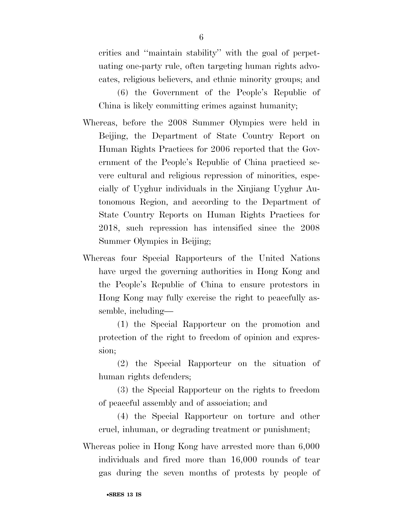critics and ''maintain stability'' with the goal of perpetuating one-party rule, often targeting human rights advocates, religious believers, and ethnic minority groups; and

(6) the Government of the People's Republic of China is likely committing crimes against humanity;

- Whereas, before the 2008 Summer Olympics were held in Beijing, the Department of State Country Report on Human Rights Practices for 2006 reported that the Government of the People's Republic of China practiced severe cultural and religious repression of minorities, especially of Uyghur individuals in the Xinjiang Uyghur Autonomous Region, and according to the Department of State Country Reports on Human Rights Practices for 2018, such repression has intensified since the 2008 Summer Olympics in Beijing;
- Whereas four Special Rapporteurs of the United Nations have urged the governing authorities in Hong Kong and the People's Republic of China to ensure protestors in Hong Kong may fully exercise the right to peacefully assemble, including—

(1) the Special Rapporteur on the promotion and protection of the right to freedom of opinion and expression;

(2) the Special Rapporteur on the situation of human rights defenders;

(3) the Special Rapporteur on the rights to freedom of peaceful assembly and of association; and

(4) the Special Rapporteur on torture and other cruel, inhuman, or degrading treatment or punishment;

Whereas police in Hong Kong have arrested more than 6,000 individuals and fired more than 16,000 rounds of tear gas during the seven months of protests by people of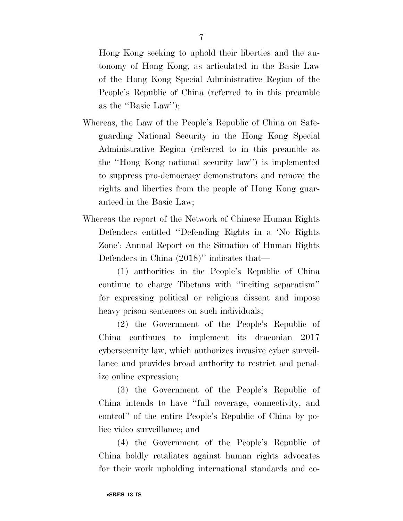Hong Kong seeking to uphold their liberties and the autonomy of Hong Kong, as articulated in the Basic Law of the Hong Kong Special Administrative Region of the People's Republic of China (referred to in this preamble as the ''Basic Law'');

- Whereas, the Law of the People's Republic of China on Safeguarding National Security in the Hong Kong Special Administrative Region (referred to in this preamble as the ''Hong Kong national security law'') is implemented to suppress pro-democracy demonstrators and remove the rights and liberties from the people of Hong Kong guaranteed in the Basic Law;
- Whereas the report of the Network of Chinese Human Rights Defenders entitled ''Defending Rights in a 'No Rights Zone': Annual Report on the Situation of Human Rights Defenders in China (2018)" indicates that—

(1) authorities in the People's Republic of China continue to charge Tibetans with ''inciting separatism'' for expressing political or religious dissent and impose heavy prison sentences on such individuals;

(2) the Government of the People's Republic of China continues to implement its draconian 2017 cybersecurity law, which authorizes invasive cyber surveillance and provides broad authority to restrict and penalize online expression;

(3) the Government of the People's Republic of China intends to have ''full coverage, connectivity, and control'' of the entire People's Republic of China by police video surveillance; and

(4) the Government of the People's Republic of China boldly retaliates against human rights advocates for their work upholding international standards and co-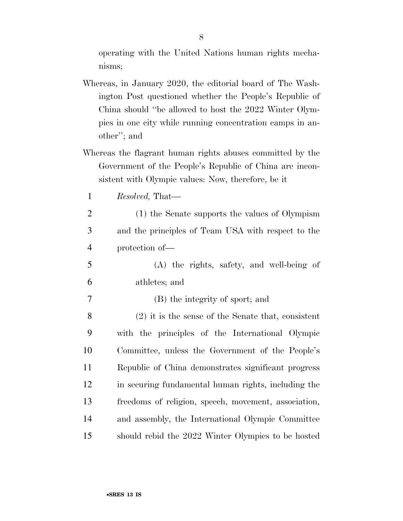operating with the United Nations human rights mechanisms;

- Whereas, in January 2020, the editorial board of The Washington Post questioned whether the People's Republic of China should ''be allowed to host the 2022 Winter Olympics in one city while running concentration camps in another''; and
- Whereas the flagrant human rights abuses committed by the Government of the People's Republic of China are inconsistent with Olympic values: Now, therefore, be it
	- 1 *Resolved,* That—
	- 2 (1) the Senate supports the values of Olympism 3 and the principles of Team USA with respect to the 4 protection of—
- 5 (A) the rights, safety, and well-being of 6 athletes; and
- 7 (B) the integrity of sport; and
- 8 (2) it is the sense of the Senate that, consistent 9 with the principles of the International Olympic 10 Committee, unless the Government of the People's 11 Republic of China demonstrates significant progress 12 in securing fundamental human rights, including the 13 freedoms of religion, speech, movement, association, 14 and assembly, the International Olympic Committee 15 should rebid the 2022 Winter Olympics to be hosted